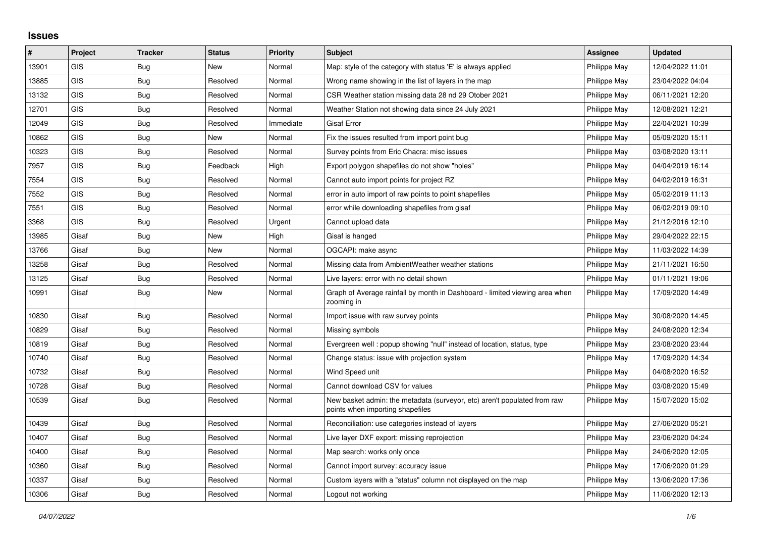## **Issues**

| #     | Project    | <b>Tracker</b> | <b>Status</b> | <b>Priority</b> | <b>Subject</b>                                                                                               | <b>Assignee</b> | <b>Updated</b>   |
|-------|------------|----------------|---------------|-----------------|--------------------------------------------------------------------------------------------------------------|-----------------|------------------|
| 13901 | <b>GIS</b> | <b>Bug</b>     | <b>New</b>    | Normal          | Map: style of the category with status 'E' is always applied                                                 | Philippe May    | 12/04/2022 11:01 |
| 13885 | <b>GIS</b> | Bug            | Resolved      | Normal          | Wrong name showing in the list of layers in the map                                                          | Philippe May    | 23/04/2022 04:04 |
| 13132 | GIS        | Bug            | Resolved      | Normal          | CSR Weather station missing data 28 nd 29 Otober 2021                                                        | Philippe May    | 06/11/2021 12:20 |
| 12701 | <b>GIS</b> | Bug            | Resolved      | Normal          | Weather Station not showing data since 24 July 2021                                                          | Philippe May    | 12/08/2021 12:21 |
| 12049 | GIS        | Bug            | Resolved      | Immediate       | <b>Gisaf Error</b>                                                                                           | Philippe May    | 22/04/2021 10:39 |
| 10862 | <b>GIS</b> | Bug            | <b>New</b>    | Normal          | Fix the issues resulted from import point bug                                                                | Philippe May    | 05/09/2020 15:11 |
| 10323 | GIS        | Bug            | Resolved      | Normal          | Survey points from Eric Chacra: misc issues                                                                  | Philippe May    | 03/08/2020 13:11 |
| 7957  | <b>GIS</b> | <b>Bug</b>     | Feedback      | High            | Export polygon shapefiles do not show "holes"                                                                | Philippe May    | 04/04/2019 16:14 |
| 7554  | GIS        | Bug            | Resolved      | Normal          | Cannot auto import points for project RZ                                                                     | Philippe May    | 04/02/2019 16:31 |
| 7552  | <b>GIS</b> | Bug            | Resolved      | Normal          | error in auto import of raw points to point shapefiles                                                       | Philippe May    | 05/02/2019 11:13 |
| 7551  | GIS        | Bug            | Resolved      | Normal          | error while downloading shapefiles from gisaf                                                                | Philippe May    | 06/02/2019 09:10 |
| 3368  | GIS        | Bug            | Resolved      | Urgent          | Cannot upload data                                                                                           | Philippe May    | 21/12/2016 12:10 |
| 13985 | Gisaf      | Bug            | <b>New</b>    | High            | Gisaf is hanged                                                                                              | Philippe May    | 29/04/2022 22:15 |
| 13766 | Gisaf      | Bug            | New           | Normal          | OGCAPI: make async                                                                                           | Philippe May    | 11/03/2022 14:39 |
| 13258 | Gisaf      | Bug            | Resolved      | Normal          | Missing data from AmbientWeather weather stations                                                            | Philippe May    | 21/11/2021 16:50 |
| 13125 | Gisaf      | <b>Bug</b>     | Resolved      | Normal          | Live layers: error with no detail shown                                                                      | Philippe May    | 01/11/2021 19:06 |
| 10991 | Gisaf      | Bug            | New           | Normal          | Graph of Average rainfall by month in Dashboard - limited viewing area when<br>zooming in                    | Philippe May    | 17/09/2020 14:49 |
| 10830 | Gisaf      | Bug            | Resolved      | Normal          | Import issue with raw survey points                                                                          | Philippe May    | 30/08/2020 14:45 |
| 10829 | Gisaf      | Bug            | Resolved      | Normal          | Missing symbols                                                                                              | Philippe May    | 24/08/2020 12:34 |
| 10819 | Gisaf      | Bug            | Resolved      | Normal          | Evergreen well: popup showing "null" instead of location, status, type                                       | Philippe May    | 23/08/2020 23:44 |
| 10740 | Gisaf      | Bug            | Resolved      | Normal          | Change status: issue with projection system                                                                  | Philippe May    | 17/09/2020 14:34 |
| 10732 | Gisaf      | Bug            | Resolved      | Normal          | Wind Speed unit                                                                                              | Philippe May    | 04/08/2020 16:52 |
| 10728 | Gisaf      | Bug            | Resolved      | Normal          | Cannot download CSV for values                                                                               | Philippe May    | 03/08/2020 15:49 |
| 10539 | Gisaf      | Bug            | Resolved      | Normal          | New basket admin: the metadata (surveyor, etc) aren't populated from raw<br>points when importing shapefiles | Philippe May    | 15/07/2020 15:02 |
| 10439 | Gisaf      | Bug            | Resolved      | Normal          | Reconciliation: use categories instead of layers                                                             | Philippe May    | 27/06/2020 05:21 |
| 10407 | Gisaf      | Bug            | Resolved      | Normal          | Live layer DXF export: missing reprojection                                                                  | Philippe May    | 23/06/2020 04:24 |
| 10400 | Gisaf      | <b>Bug</b>     | Resolved      | Normal          | Map search: works only once                                                                                  | Philippe May    | 24/06/2020 12:05 |
| 10360 | Gisaf      | Bug            | Resolved      | Normal          | Cannot import survey: accuracy issue                                                                         | Philippe May    | 17/06/2020 01:29 |
| 10337 | Gisaf      | <b>Bug</b>     | Resolved      | Normal          | Custom layers with a "status" column not displayed on the map                                                | Philippe May    | 13/06/2020 17:36 |
| 10306 | Gisaf      | Bug            | Resolved      | Normal          | Logout not working                                                                                           | Philippe May    | 11/06/2020 12:13 |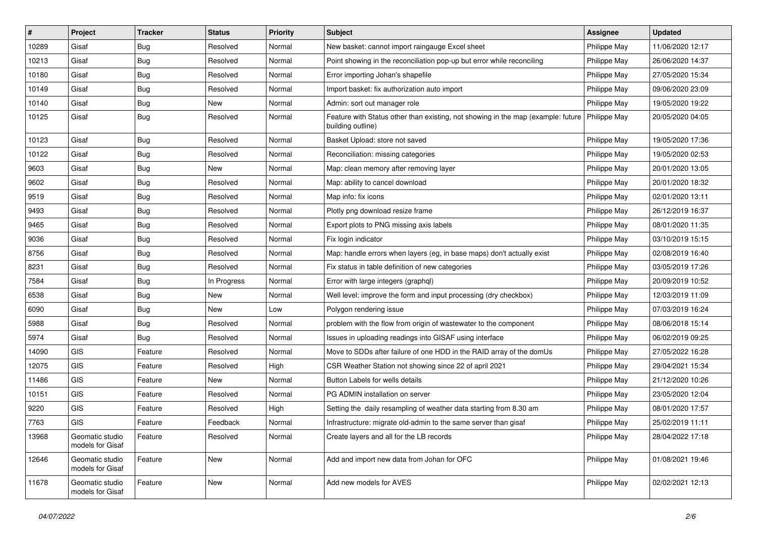| #     | Project                             | <b>Tracker</b> | <b>Status</b> | <b>Priority</b> | <b>Subject</b>                                                                                        | <b>Assignee</b> | <b>Updated</b>   |
|-------|-------------------------------------|----------------|---------------|-----------------|-------------------------------------------------------------------------------------------------------|-----------------|------------------|
| 10289 | Gisaf                               | Bug            | Resolved      | Normal          | New basket: cannot import raingauge Excel sheet                                                       | Philippe May    | 11/06/2020 12:17 |
| 10213 | Gisaf                               | Bug            | Resolved      | Normal          | Point showing in the reconciliation pop-up but error while reconciling                                | Philippe May    | 26/06/2020 14:37 |
| 10180 | Gisaf                               | <b>Bug</b>     | Resolved      | Normal          | Error importing Johan's shapefile                                                                     | Philippe May    | 27/05/2020 15:34 |
| 10149 | Gisaf                               | <b>Bug</b>     | Resolved      | Normal          | Import basket: fix authorization auto import                                                          | Philippe May    | 09/06/2020 23:09 |
| 10140 | Gisaf                               | Bug            | New           | Normal          | Admin: sort out manager role                                                                          | Philippe May    | 19/05/2020 19:22 |
| 10125 | Gisaf                               | <b>Bug</b>     | Resolved      | Normal          | Feature with Status other than existing, not showing in the map (example: future<br>building outline) | Philippe May    | 20/05/2020 04:05 |
| 10123 | Gisaf                               | Bug            | Resolved      | Normal          | Basket Upload: store not saved                                                                        | Philippe May    | 19/05/2020 17:36 |
| 10122 | Gisaf                               | <b>Bug</b>     | Resolved      | Normal          | Reconciliation: missing categories                                                                    | Philippe May    | 19/05/2020 02:53 |
| 9603  | Gisaf                               | <b>Bug</b>     | New           | Normal          | Map: clean memory after removing layer                                                                | Philippe May    | 20/01/2020 13:05 |
| 9602  | Gisaf                               | <b>Bug</b>     | Resolved      | Normal          | Map: ability to cancel download                                                                       | Philippe May    | 20/01/2020 18:32 |
| 9519  | Gisaf                               | <b>Bug</b>     | Resolved      | Normal          | Map info: fix icons                                                                                   | Philippe May    | 02/01/2020 13:11 |
| 9493  | Gisaf                               | <b>Bug</b>     | Resolved      | Normal          | Plotly png download resize frame                                                                      | Philippe May    | 26/12/2019 16:37 |
| 9465  | Gisaf                               | <b>Bug</b>     | Resolved      | Normal          | Export plots to PNG missing axis labels                                                               | Philippe May    | 08/01/2020 11:35 |
| 9036  | Gisaf                               | <b>Bug</b>     | Resolved      | Normal          | Fix login indicator                                                                                   | Philippe May    | 03/10/2019 15:15 |
| 8756  | Gisaf                               | <b>Bug</b>     | Resolved      | Normal          | Map: handle errors when layers (eg, in base maps) don't actually exist                                | Philippe May    | 02/08/2019 16:40 |
| 8231  | Gisaf                               | <b>Bug</b>     | Resolved      | Normal          | Fix status in table definition of new categories                                                      | Philippe May    | 03/05/2019 17:26 |
| 7584  | Gisaf                               | Bug            | In Progress   | Normal          | Error with large integers (graphql)                                                                   | Philippe May    | 20/09/2019 10:52 |
| 6538  | Gisaf                               | <b>Bug</b>     | New           | Normal          | Well level: improve the form and input processing (dry checkbox)                                      | Philippe May    | 12/03/2019 11:09 |
| 6090  | Gisaf                               | Bug            | New           | Low             | Polygon rendering issue                                                                               | Philippe May    | 07/03/2019 16:24 |
| 5988  | Gisaf                               | <b>Bug</b>     | Resolved      | Normal          | problem with the flow from origin of wastewater to the component                                      | Philippe May    | 08/06/2018 15:14 |
| 5974  | Gisaf                               | <b>Bug</b>     | Resolved      | Normal          | Issues in uploading readings into GISAF using interface                                               | Philippe May    | 06/02/2019 09:25 |
| 14090 | GIS                                 | Feature        | Resolved      | Normal          | Move to SDDs after failure of one HDD in the RAID array of the domUs                                  | Philippe May    | 27/05/2022 16:28 |
| 12075 | <b>GIS</b>                          | Feature        | Resolved      | High            | CSR Weather Station not showing since 22 of april 2021                                                | Philippe May    | 29/04/2021 15:34 |
| 11486 | GIS                                 | Feature        | New           | Normal          | Button Labels for wells details                                                                       | Philippe May    | 21/12/2020 10:26 |
| 10151 | GIS                                 | Feature        | Resolved      | Normal          | PG ADMIN installation on server                                                                       | Philippe May    | 23/05/2020 12:04 |
| 9220  | GIS                                 | Feature        | Resolved      | High            | Setting the daily resampling of weather data starting from 8.30 am                                    | Philippe May    | 08/01/2020 17:57 |
| 7763  | GIS                                 | Feature        | Feedback      | Normal          | Infrastructure: migrate old-admin to the same server than gisaf                                       | Philippe May    | 25/02/2019 11:11 |
| 13968 | Geomatic studio<br>models for Gisaf | Feature        | Resolved      | Normal          | Create layers and all for the LB records                                                              | Philippe May    | 28/04/2022 17:18 |
| 12646 | Geomatic studio<br>models for Gisaf | Feature        | New           | Normal          | Add and import new data from Johan for OFC                                                            | Philippe May    | 01/08/2021 19:46 |
| 11678 | Geomatic studio<br>models for Gisaf | Feature        | New           | Normal          | Add new models for AVES                                                                               | Philippe May    | 02/02/2021 12:13 |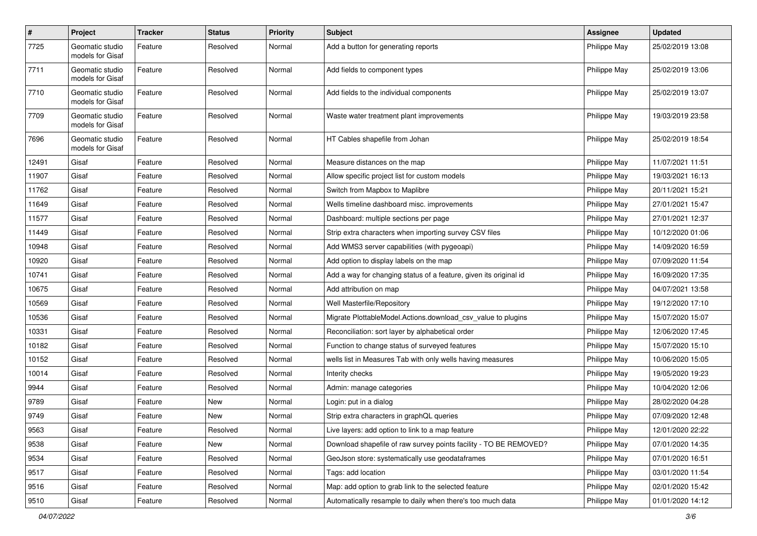| $\pmb{\#}$ | Project                             | <b>Tracker</b> | <b>Status</b> | <b>Priority</b> | <b>Subject</b>                                                    | <b>Assignee</b> | <b>Updated</b>   |
|------------|-------------------------------------|----------------|---------------|-----------------|-------------------------------------------------------------------|-----------------|------------------|
| 7725       | Geomatic studio<br>models for Gisaf | Feature        | Resolved      | Normal          | Add a button for generating reports                               | Philippe May    | 25/02/2019 13:08 |
| 7711       | Geomatic studio<br>models for Gisaf | Feature        | Resolved      | Normal          | Add fields to component types                                     | Philippe May    | 25/02/2019 13:06 |
| 7710       | Geomatic studio<br>models for Gisaf | Feature        | Resolved      | Normal          | Add fields to the individual components                           | Philippe May    | 25/02/2019 13:07 |
| 7709       | Geomatic studio<br>models for Gisaf | Feature        | Resolved      | Normal          | Waste water treatment plant improvements                          | Philippe May    | 19/03/2019 23:58 |
| 7696       | Geomatic studio<br>models for Gisaf | Feature        | Resolved      | Normal          | HT Cables shapefile from Johan                                    | Philippe May    | 25/02/2019 18:54 |
| 12491      | Gisaf                               | Feature        | Resolved      | Normal          | Measure distances on the map                                      | Philippe May    | 11/07/2021 11:51 |
| 11907      | Gisaf                               | Feature        | Resolved      | Normal          | Allow specific project list for custom models                     | Philippe May    | 19/03/2021 16:13 |
| 11762      | Gisaf                               | Feature        | Resolved      | Normal          | Switch from Mapbox to Maplibre                                    | Philippe May    | 20/11/2021 15:21 |
| 11649      | Gisaf                               | Feature        | Resolved      | Normal          | Wells timeline dashboard misc. improvements                       | Philippe May    | 27/01/2021 15:47 |
| 11577      | Gisaf                               | Feature        | Resolved      | Normal          | Dashboard: multiple sections per page                             | Philippe May    | 27/01/2021 12:37 |
| 11449      | Gisaf                               | Feature        | Resolved      | Normal          | Strip extra characters when importing survey CSV files            | Philippe May    | 10/12/2020 01:06 |
| 10948      | Gisaf                               | Feature        | Resolved      | Normal          | Add WMS3 server capabilities (with pygeoapi)                      | Philippe May    | 14/09/2020 16:59 |
| 10920      | Gisaf                               | Feature        | Resolved      | Normal          | Add option to display labels on the map                           | Philippe May    | 07/09/2020 11:54 |
| 10741      | Gisaf                               | Feature        | Resolved      | Normal          | Add a way for changing status of a feature, given its original id | Philippe May    | 16/09/2020 17:35 |
| 10675      | Gisaf                               | Feature        | Resolved      | Normal          | Add attribution on map                                            | Philippe May    | 04/07/2021 13:58 |
| 10569      | Gisaf                               | Feature        | Resolved      | Normal          | Well Masterfile/Repository                                        | Philippe May    | 19/12/2020 17:10 |
| 10536      | Gisaf                               | Feature        | Resolved      | Normal          | Migrate PlottableModel.Actions.download_csv_value to plugins      | Philippe May    | 15/07/2020 15:07 |
| 10331      | Gisaf                               | Feature        | Resolved      | Normal          | Reconciliation: sort layer by alphabetical order                  | Philippe May    | 12/06/2020 17:45 |
| 10182      | Gisaf                               | Feature        | Resolved      | Normal          | Function to change status of surveyed features                    | Philippe May    | 15/07/2020 15:10 |
| 10152      | Gisaf                               | Feature        | Resolved      | Normal          | wells list in Measures Tab with only wells having measures        | Philippe May    | 10/06/2020 15:05 |
| 10014      | Gisaf                               | Feature        | Resolved      | Normal          | Interity checks                                                   | Philippe May    | 19/05/2020 19:23 |
| 9944       | Gisaf                               | Feature        | Resolved      | Normal          | Admin: manage categories                                          | Philippe May    | 10/04/2020 12:06 |
| 9789       | Gisaf                               | Feature        | New           | Normal          | Login: put in a dialog                                            | Philippe May    | 28/02/2020 04:28 |
| 9749       | Gisaf                               | Feature        | New           | Normal          | Strip extra characters in graphQL queries                         | Philippe May    | 07/09/2020 12:48 |
| 9563       | Gisaf                               | Feature        | Resolved      | Normal          | Live layers: add option to link to a map feature                  | Philippe May    | 12/01/2020 22:22 |
| 9538       | Gisaf                               | Feature        | New           | Normal          | Download shapefile of raw survey points facility - TO BE REMOVED? | Philippe May    | 07/01/2020 14:35 |
| 9534       | Gisaf                               | Feature        | Resolved      | Normal          | GeoJson store: systematically use geodataframes                   | Philippe May    | 07/01/2020 16:51 |
| 9517       | Gisaf                               | Feature        | Resolved      | Normal          | Tags: add location                                                | Philippe May    | 03/01/2020 11:54 |
| 9516       | Gisaf                               | Feature        | Resolved      | Normal          | Map: add option to grab link to the selected feature              | Philippe May    | 02/01/2020 15:42 |
| 9510       | Gisaf                               | Feature        | Resolved      | Normal          | Automatically resample to daily when there's too much data        | Philippe May    | 01/01/2020 14:12 |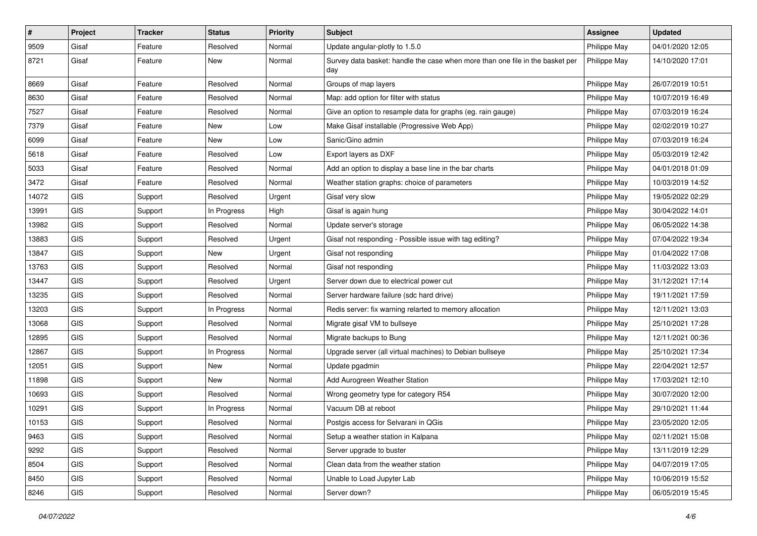| $\vert$ # | Project    | <b>Tracker</b> | <b>Status</b> | <b>Priority</b> | <b>Subject</b>                                                                       | <b>Assignee</b> | <b>Updated</b>   |
|-----------|------------|----------------|---------------|-----------------|--------------------------------------------------------------------------------------|-----------------|------------------|
| 9509      | Gisaf      | Feature        | Resolved      | Normal          | Update angular-plotly to 1.5.0                                                       | Philippe May    | 04/01/2020 12:05 |
| 8721      | Gisaf      | Feature        | <b>New</b>    | Normal          | Survey data basket: handle the case when more than one file in the basket per<br>day | Philippe May    | 14/10/2020 17:01 |
| 8669      | Gisaf      | Feature        | Resolved      | Normal          | Groups of map layers                                                                 | Philippe May    | 26/07/2019 10:51 |
| 8630      | Gisaf      | Feature        | Resolved      | Normal          | Map: add option for filter with status                                               | Philippe May    | 10/07/2019 16:49 |
| 7527      | Gisaf      | Feature        | Resolved      | Normal          | Give an option to resample data for graphs (eg. rain gauge)                          | Philippe May    | 07/03/2019 16:24 |
| 7379      | Gisaf      | Feature        | <b>New</b>    | Low             | Make Gisaf installable (Progressive Web App)                                         | Philippe May    | 02/02/2019 10:27 |
| 6099      | Gisaf      | Feature        | New           | Low             | Sanic/Gino admin                                                                     | Philippe May    | 07/03/2019 16:24 |
| 5618      | Gisaf      | Feature        | Resolved      | Low             | Export layers as DXF                                                                 | Philippe May    | 05/03/2019 12:42 |
| 5033      | Gisaf      | Feature        | Resolved      | Normal          | Add an option to display a base line in the bar charts                               | Philippe May    | 04/01/2018 01:09 |
| 3472      | Gisaf      | Feature        | Resolved      | Normal          | Weather station graphs: choice of parameters                                         | Philippe May    | 10/03/2019 14:52 |
| 14072     | GIS        | Support        | Resolved      | Urgent          | Gisaf very slow                                                                      | Philippe May    | 19/05/2022 02:29 |
| 13991     | GIS        | Support        | In Progress   | High            | Gisaf is again hung                                                                  | Philippe May    | 30/04/2022 14:01 |
| 13982     | GIS        | Support        | Resolved      | Normal          | Update server's storage                                                              | Philippe May    | 06/05/2022 14:38 |
| 13883     | GIS        | Support        | Resolved      | Urgent          | Gisaf not responding - Possible issue with tag editing?                              | Philippe May    | 07/04/2022 19:34 |
| 13847     | GIS        | Support        | New           | Urgent          | Gisaf not responding                                                                 | Philippe May    | 01/04/2022 17:08 |
| 13763     | GIS        | Support        | Resolved      | Normal          | Gisaf not responding                                                                 | Philippe May    | 11/03/2022 13:03 |
| 13447     | GIS        | Support        | Resolved      | Urgent          | Server down due to electrical power cut                                              | Philippe May    | 31/12/2021 17:14 |
| 13235     | GIS        | Support        | Resolved      | Normal          | Server hardware failure (sdc hard drive)                                             | Philippe May    | 19/11/2021 17:59 |
| 13203     | GIS        | Support        | In Progress   | Normal          | Redis server: fix warning relarted to memory allocation                              | Philippe May    | 12/11/2021 13:03 |
| 13068     | GIS        | Support        | Resolved      | Normal          | Migrate gisaf VM to bullseye                                                         | Philippe May    | 25/10/2021 17:28 |
| 12895     | GIS        | Support        | Resolved      | Normal          | Migrate backups to Bung                                                              | Philippe May    | 12/11/2021 00:36 |
| 12867     | <b>GIS</b> | Support        | In Progress   | Normal          | Upgrade server (all virtual machines) to Debian bullseye                             | Philippe May    | 25/10/2021 17:34 |
| 12051     | <b>GIS</b> | Support        | New           | Normal          | Update pgadmin                                                                       | Philippe May    | 22/04/2021 12:57 |
| 11898     | GIS        | Support        | <b>New</b>    | Normal          | Add Aurogreen Weather Station                                                        | Philippe May    | 17/03/2021 12:10 |
| 10693     | GIS        | Support        | Resolved      | Normal          | Wrong geometry type for category R54                                                 | Philippe May    | 30/07/2020 12:00 |
| 10291     | GIS        | Support        | In Progress   | Normal          | Vacuum DB at reboot                                                                  | Philippe May    | 29/10/2021 11:44 |
| 10153     | GIS        | Support        | Resolved      | Normal          | Postgis access for Selvarani in QGis                                                 | Philippe May    | 23/05/2020 12:05 |
| 9463      | GIS        | Support        | Resolved      | Normal          | Setup a weather station in Kalpana                                                   | Philippe May    | 02/11/2021 15:08 |
| 9292      | GIS        | Support        | Resolved      | Normal          | Server upgrade to buster                                                             | Philippe May    | 13/11/2019 12:29 |
| 8504      | GIS        | Support        | Resolved      | Normal          | Clean data from the weather station                                                  | Philippe May    | 04/07/2019 17:05 |
| 8450      | GIS        | Support        | Resolved      | Normal          | Unable to Load Jupyter Lab                                                           | Philippe May    | 10/06/2019 15:52 |
| 8246      | GIS        | Support        | Resolved      | Normal          | Server down?                                                                         | Philippe May    | 06/05/2019 15:45 |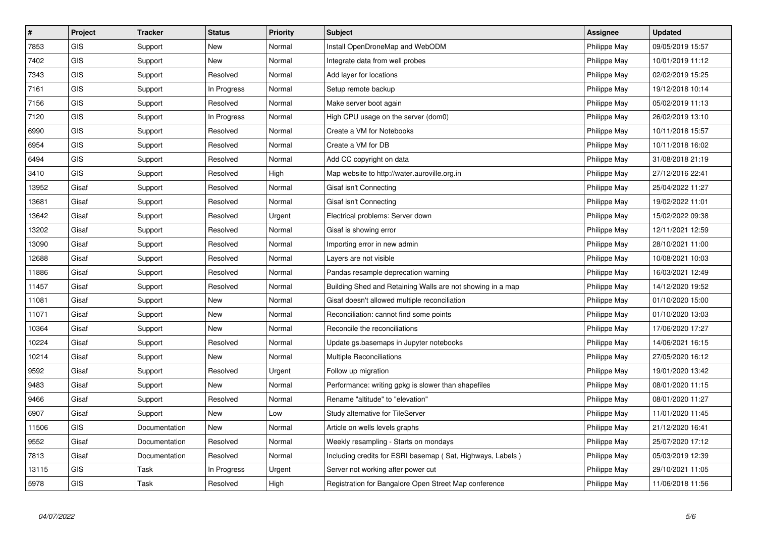| #     | Project    | <b>Tracker</b> | <b>Status</b> | <b>Priority</b> | <b>Subject</b>                                             | <b>Assignee</b> | <b>Updated</b>   |
|-------|------------|----------------|---------------|-----------------|------------------------------------------------------------|-----------------|------------------|
| 7853  | <b>GIS</b> | Support        | New           | Normal          | Install OpenDroneMap and WebODM                            | Philippe May    | 09/05/2019 15:57 |
| 7402  | GIS        | Support        | <b>New</b>    | Normal          | Integrate data from well probes                            | Philippe May    | 10/01/2019 11:12 |
| 7343  | <b>GIS</b> | Support        | Resolved      | Normal          | Add layer for locations                                    | Philippe May    | 02/02/2019 15:25 |
| 7161  | GIS        | Support        | In Progress   | Normal          | Setup remote backup                                        | Philippe May    | 19/12/2018 10:14 |
| 7156  | <b>GIS</b> | Support        | Resolved      | Normal          | Make server boot again                                     | Philippe May    | 05/02/2019 11:13 |
| 7120  | GIS        | Support        | In Progress   | Normal          | High CPU usage on the server (dom0)                        | Philippe May    | 26/02/2019 13:10 |
| 6990  | GIS        | Support        | Resolved      | Normal          | Create a VM for Notebooks                                  | Philippe May    | 10/11/2018 15:57 |
| 6954  | <b>GIS</b> | Support        | Resolved      | Normal          | Create a VM for DB                                         | Philippe May    | 10/11/2018 16:02 |
| 6494  | GIS        | Support        | Resolved      | Normal          | Add CC copyright on data                                   | Philippe May    | 31/08/2018 21:19 |
| 3410  | GIS        | Support        | Resolved      | High            | Map website to http://water.auroville.org.in               | Philippe May    | 27/12/2016 22:41 |
| 13952 | Gisaf      | Support        | Resolved      | Normal          | Gisaf isn't Connecting                                     | Philippe May    | 25/04/2022 11:27 |
| 13681 | Gisaf      | Support        | Resolved      | Normal          | Gisaf isn't Connecting                                     | Philippe May    | 19/02/2022 11:01 |
| 13642 | Gisaf      | Support        | Resolved      | Urgent          | Electrical problems: Server down                           | Philippe May    | 15/02/2022 09:38 |
| 13202 | Gisaf      | Support        | Resolved      | Normal          | Gisaf is showing error                                     | Philippe May    | 12/11/2021 12:59 |
| 13090 | Gisaf      | Support        | Resolved      | Normal          | Importing error in new admin                               | Philippe May    | 28/10/2021 11:00 |
| 12688 | Gisaf      | Support        | Resolved      | Normal          | Layers are not visible                                     | Philippe May    | 10/08/2021 10:03 |
| 11886 | Gisaf      | Support        | Resolved      | Normal          | Pandas resample deprecation warning                        | Philippe May    | 16/03/2021 12:49 |
| 11457 | Gisaf      | Support        | Resolved      | Normal          | Building Shed and Retaining Walls are not showing in a map | Philippe May    | 14/12/2020 19:52 |
| 11081 | Gisaf      | Support        | New           | Normal          | Gisaf doesn't allowed multiple reconciliation              | Philippe May    | 01/10/2020 15:00 |
| 11071 | Gisaf      | Support        | New           | Normal          | Reconciliation: cannot find some points                    | Philippe May    | 01/10/2020 13:03 |
| 10364 | Gisaf      | Support        | <b>New</b>    | Normal          | Reconcile the reconciliations                              | Philippe May    | 17/06/2020 17:27 |
| 10224 | Gisaf      | Support        | Resolved      | Normal          | Update gs.basemaps in Jupyter notebooks                    | Philippe May    | 14/06/2021 16:15 |
| 10214 | Gisaf      | Support        | <b>New</b>    | Normal          | Multiple Reconciliations                                   | Philippe May    | 27/05/2020 16:12 |
| 9592  | Gisaf      | Support        | Resolved      | Urgent          | Follow up migration                                        | Philippe May    | 19/01/2020 13:42 |
| 9483  | Gisaf      | Support        | <b>New</b>    | Normal          | Performance: writing gpkg is slower than shapefiles        | Philippe May    | 08/01/2020 11:15 |
| 9466  | Gisaf      | Support        | Resolved      | Normal          | Rename "altitude" to "elevation"                           | Philippe May    | 08/01/2020 11:27 |
| 6907  | Gisaf      | Support        | <b>New</b>    | Low             | Study alternative for TileServer                           | Philippe May    | 11/01/2020 11:45 |
| 11506 | <b>GIS</b> | Documentation  | <b>New</b>    | Normal          | Article on wells levels graphs                             | Philippe May    | 21/12/2020 16:41 |
| 9552  | Gisaf      | Documentation  | Resolved      | Normal          | Weekly resampling - Starts on mondays                      | Philippe May    | 25/07/2020 17:12 |
| 7813  | Gisaf      | Documentation  | Resolved      | Normal          | Including credits for ESRI basemap (Sat, Highways, Labels) | Philippe May    | 05/03/2019 12:39 |
| 13115 | <b>GIS</b> | Task           | In Progress   | Urgent          | Server not working after power cut                         | Philippe May    | 29/10/2021 11:05 |
| 5978  | <b>GIS</b> | Task           | Resolved      | High            | Registration for Bangalore Open Street Map conference      | Philippe May    | 11/06/2018 11:56 |